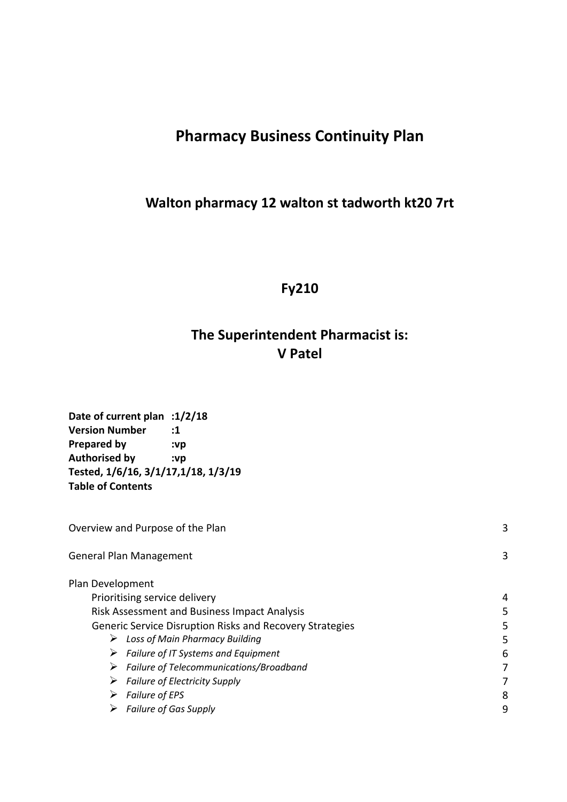# **Pharmacy Business Continuity Plan**

## **Walton pharmacy 12 walton st tadworth kt20 7rt**

**Fy210**

# **The Superintendent Pharmacist is: V Patel**

| Date of current plan :1/2/18        |     |
|-------------------------------------|-----|
| <b>Version Number</b>               | :1  |
| <b>Prepared by</b>                  | :vp |
| <b>Authorised by</b>                | :vp |
| Tested, 1/6/16, 3/1/17,1/18, 1/3/19 |     |
| <b>Table of Contents</b>            |     |
|                                     |     |

| 3 |
|---|
|   |
| 4 |
| 5 |
| 5 |
| 5 |
| 6 |
|   |
|   |
| 8 |
| 9 |
|   |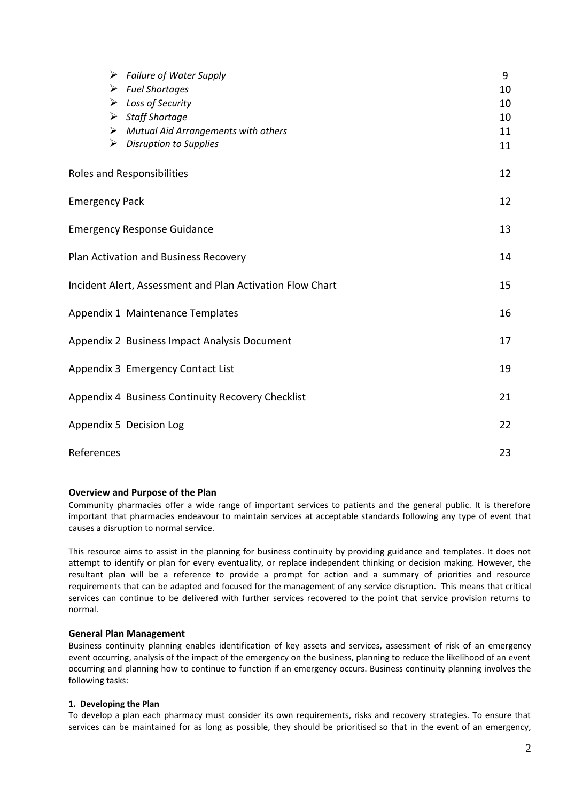| $\triangleright$ Failure of Water Supply                  | 9  |
|-----------------------------------------------------------|----|
| $\triangleright$ Fuel Shortages                           | 10 |
| $\triangleright$ Loss of Security                         | 10 |
| $\triangleright$ Staff Shortage                           | 10 |
| $\triangleright$ Mutual Aid Arrangements with others      | 11 |
| $\triangleright$ Disruption to Supplies                   | 11 |
| Roles and Responsibilities                                | 12 |
| <b>Emergency Pack</b>                                     | 12 |
| <b>Emergency Response Guidance</b>                        | 13 |
| Plan Activation and Business Recovery                     | 14 |
| Incident Alert, Assessment and Plan Activation Flow Chart | 15 |
| Appendix 1 Maintenance Templates                          | 16 |
| Appendix 2 Business Impact Analysis Document              | 17 |
| Appendix 3 Emergency Contact List                         | 19 |
| Appendix 4 Business Continuity Recovery Checklist         | 21 |
| Appendix 5 Decision Log                                   | 22 |
| References                                                | 23 |

#### **Overview and Purpose of the Plan**

Community pharmacies offer a wide range of important services to patients and the general public. It is therefore important that pharmacies endeavour to maintain services at acceptable standards following any type of event that causes a disruption to normal service.

This resource aims to assist in the planning for business continuity by providing guidance and templates. It does not attempt to identify or plan for every eventuality, or replace independent thinking or decision making. However, the resultant plan will be a reference to provide a prompt for action and a summary of priorities and resource requirements that can be adapted and focused for the management of any service disruption. This means that critical services can continue to be delivered with further services recovered to the point that service provision returns to normal.

#### **General Plan Management**

Business continuity planning enables identification of key assets and services, assessment of risk of an emergency event occurring, analysis of the impact of the emergency on the business, planning to reduce the likelihood of an event occurring and planning how to continue to function if an emergency occurs. Business continuity planning involves the following tasks:

#### **1. Developing the Plan**

To develop a plan each pharmacy must consider its own requirements, risks and recovery strategies. To ensure that services can be maintained for as long as possible, they should be prioritised so that in the event of an emergency,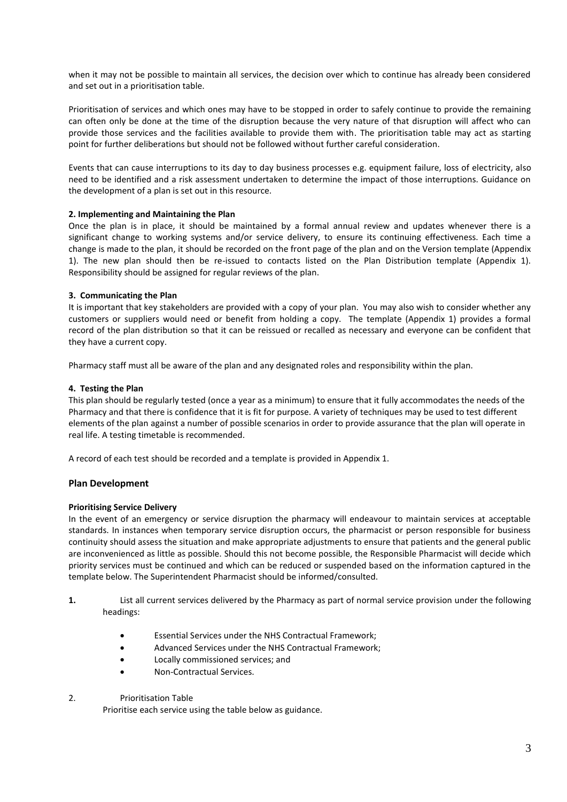when it may not be possible to maintain all services, the decision over which to continue has already been considered and set out in a prioritisation table.

Prioritisation of services and which ones may have to be stopped in order to safely continue to provide the remaining can often only be done at the time of the disruption because the very nature of that disruption will affect who can provide those services and the facilities available to provide them with. The prioritisation table may act as starting point for further deliberations but should not be followed without further careful consideration.

Events that can cause interruptions to its day to day business processes e.g. equipment failure, loss of electricity, also need to be identified and a risk assessment undertaken to determine the impact of those interruptions. Guidance on the development of a plan is set out in this resource.

#### **2. Implementing and Maintaining the Plan**

Once the plan is in place, it should be maintained by a formal annual review and updates whenever there is a significant change to working systems and/or service delivery, to ensure its continuing effectiveness. Each time a change is made to the plan, it should be recorded on the front page of the plan and on the Version template (Appendix 1). The new plan should then be re-issued to contacts listed on the Plan Distribution template (Appendix 1). Responsibility should be assigned for regular reviews of the plan.

#### **3. Communicating the Plan**

It is important that key stakeholders are provided with a copy of your plan. You may also wish to consider whether any customers or suppliers would need or benefit from holding a copy. The template (Appendix 1) provides a formal record of the plan distribution so that it can be reissued or recalled as necessary and everyone can be confident that they have a current copy.

Pharmacy staff must all be aware of the plan and any designated roles and responsibility within the plan.

#### **4. Testing the Plan**

This plan should be regularly tested (once a year as a minimum) to ensure that it fully accommodates the needs of the Pharmacy and that there is confidence that it is fit for purpose. A variety of techniques may be used to test different elements of the plan against a number of possible scenarios in order to provide assurance that the plan will operate in real life. A testing timetable is recommended.

A record of each test should be recorded and a template is provided in Appendix 1.

## **Plan Development**

#### **Prioritising Service Delivery**

In the event of an emergency or service disruption the pharmacy will endeavour to maintain services at acceptable standards. In instances when temporary service disruption occurs, the pharmacist or person responsible for business continuity should assess the situation and make appropriate adjustments to ensure that patients and the general public are inconvenienced as little as possible. Should this not become possible, the Responsible Pharmacist will decide which priority services must be continued and which can be reduced or suspended based on the information captured in the template below. The Superintendent Pharmacist should be informed/consulted.

- **1.** List all current services delivered by the Pharmacy as part of normal service provision under the following headings:
	- Essential Services under the NHS Contractual Framework;
	- Advanced Services under the NHS Contractual Framework;
	- Locally commissioned services; and
	- Non-Contractual Services.

#### 2. Prioritisation Table

Prioritise each service using the table below as guidance.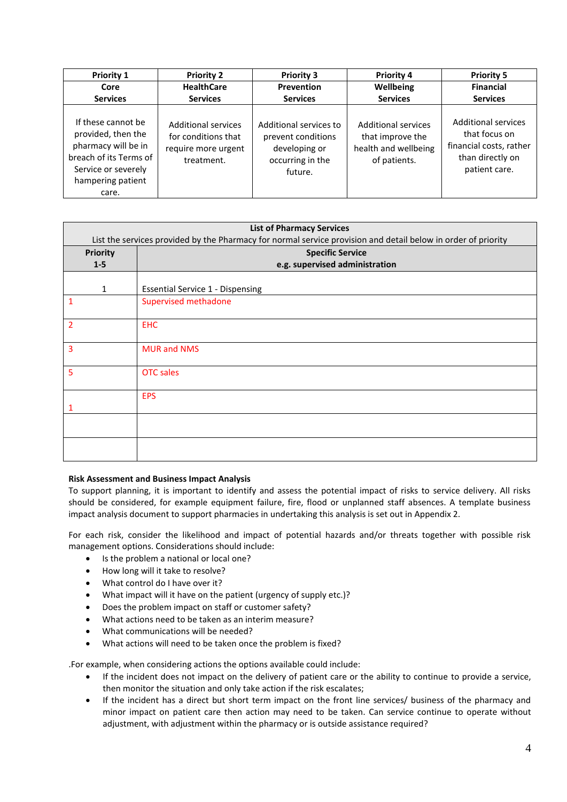| <b>Priority 1</b>                                                                                                                              | <b>Priority 2</b>                                                               | <b>Priority 3</b>                                                                            | <b>Priority 4</b>                                                                      | <b>Priority 5</b>                                                                                           |
|------------------------------------------------------------------------------------------------------------------------------------------------|---------------------------------------------------------------------------------|----------------------------------------------------------------------------------------------|----------------------------------------------------------------------------------------|-------------------------------------------------------------------------------------------------------------|
| Core                                                                                                                                           | <b>HealthCare</b>                                                               | Prevention                                                                                   | Wellbeing                                                                              | <b>Financial</b>                                                                                            |
| <b>Services</b>                                                                                                                                | <b>Services</b>                                                                 | <b>Services</b>                                                                              | <b>Services</b>                                                                        | <b>Services</b>                                                                                             |
| If these cannot be<br>provided, then the<br>pharmacy will be in<br>breach of its Terms of<br>Service or severely<br>hampering patient<br>care. | Additional services<br>for conditions that<br>require more urgent<br>treatment. | Additional services to<br>prevent conditions<br>developing or<br>occurring in the<br>future. | <b>Additional services</b><br>that improve the<br>health and wellbeing<br>of patients. | <b>Additional services</b><br>that focus on<br>financial costs, rather<br>than directly on<br>patient care. |

| <b>List of Pharmacy Services</b> |                                                                                                               |  |  |
|----------------------------------|---------------------------------------------------------------------------------------------------------------|--|--|
|                                  | List the services provided by the Pharmacy for normal service provision and detail below in order of priority |  |  |
| <b>Priority</b>                  | <b>Specific Service</b>                                                                                       |  |  |
| $1 - 5$                          | e.g. supervised administration                                                                                |  |  |
|                                  |                                                                                                               |  |  |
| $\mathbf{1}$                     | <b>Essential Service 1 - Dispensing</b>                                                                       |  |  |
| 1                                | <b>Supervised methadone</b>                                                                                   |  |  |
| 2                                | <b>EHC</b>                                                                                                    |  |  |
| 3                                | <b>MUR and NMS</b>                                                                                            |  |  |
| 5                                | <b>OTC</b> sales                                                                                              |  |  |
|                                  | <b>EPS</b>                                                                                                    |  |  |
|                                  |                                                                                                               |  |  |
|                                  |                                                                                                               |  |  |

## **Risk Assessment and Business Impact Analysis**

To support planning, it is important to identify and assess the potential impact of risks to service delivery. All risks should be considered, for example equipment failure, fire, flood or unplanned staff absences. A template business impact analysis document to support pharmacies in undertaking this analysis is set out in Appendix 2.

For each risk, consider the likelihood and impact of potential hazards and/or threats together with possible risk management options. Considerations should include:

- Is the problem a national or local one?
- How long will it take to resolve?
- What control do I have over it?
- What impact will it have on the patient (urgency of supply etc.)?
- Does the problem impact on staff or customer safety?
- What actions need to be taken as an interim measure?
- What communications will be needed?
- What actions will need to be taken once the problem is fixed?

.For example, when considering actions the options available could include:

- If the incident does not impact on the delivery of patient care or the ability to continue to provide a service, then monitor the situation and only take action if the risk escalates;
- If the incident has a direct but short term impact on the front line services/ business of the pharmacy and minor impact on patient care then action may need to be taken. Can service continue to operate without adjustment, with adjustment within the pharmacy or is outside assistance required?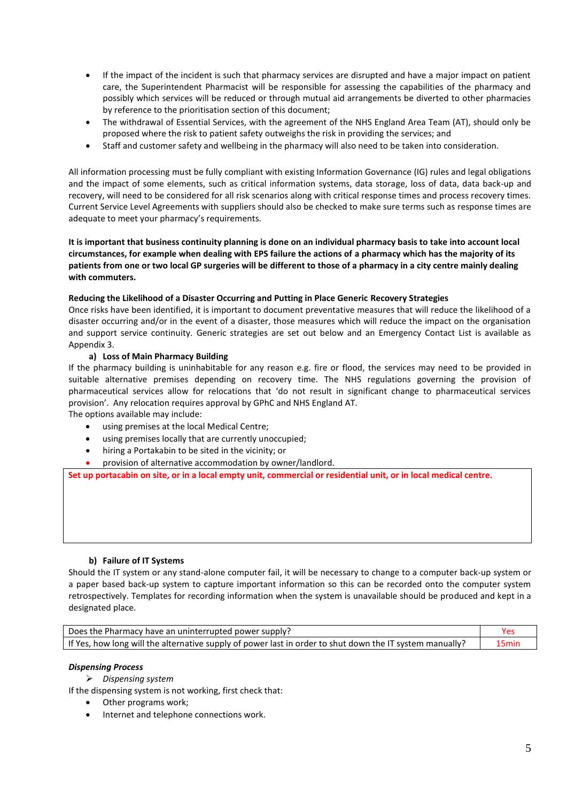- If the impact of the incident is such that pharmacy services are disrupted and have a major impact on patient care, the Superintendent Pharmacist will be responsible for assessing the capabilities of the pharmacy and possibly which services will be reduced or through mutual aid arrangements be diverted to other pharmacies by reference to the prioritisation section of this document;
- The withdrawal of Essential Services, with the agreement of the NHS England Area Team (AT), should only be proposed where the risk to patient safety outweighs the risk in providing the services; and
- Staff and customer safety and wellbeing in the pharmacy will also need to be taken into consideration.

All information processing must be fully compliant with existing Information Governance (IG) rules and legal obligations and the impact of some elements, such as critical information systems, data storage, loss of data, data back-up and recovery, will need to be considered for all risk scenarios along with critical response times and process recovery times. Current Service Level Agreements with suppliers should also be checked to make sure terms such as response times are adequate to meet your pharmacy's requirements.

#### **It is important that business continuity planning is done on an individual pharmacy basis to take into account local circumstances, for example when dealing with EPS failure the actions of a pharmacy which has the majority of its patients from one or two local GP surgeries will be different to those of a pharmacy in a city centre mainly dealing with commuters.**

#### **Reducing the Likelihood of a Disaster Occurring and Putting in Place Generic Recovery Strategies**

Once risks have been identified, it is important to document preventative measures that will reduce the likelihood of a disaster occurring and/or in the event of a disaster, those measures which will reduce the impact on the organisation and support service continuity. Generic strategies are set out below and an Emergency Contact List is available as Appendix 3.

#### **a) Loss of Main Pharmacy Building**

If the pharmacy building is uninhabitable for any reason e.g. fire or flood, the services may need to be provided in suitable alternative premises depending on recovery time. The NHS regulations governing the provision of pharmaceutical services allow for relocations that 'do not result in significant change to pharmaceutical services provision'. Any relocation requires approval by GPhC and NHS England AT.

The options available may include:

- using premises at the local Medical Centre;
- using premises locally that are currently unoccupied;
- hiring a Portakabin to be sited in the vicinity; or
- provision of alternative accommodation by owner/landlord.

**Set up portacabin on site, or in a local empty unit, commercial or residential unit, or in local medical centre.**

#### **b) Failure of IT Systems**

Should the IT system or any stand-alone computer fail, it will be necessary to change to a computer back-up system or a paper based back-up system to capture important information so this can be recorded onto the computer system retrospectively. Templates for recording information when the system is unavailable should be produced and kept in a designated place.

| Does the Pharmacy have an uninterrupted power supply?                                                    |                   |
|----------------------------------------------------------------------------------------------------------|-------------------|
| If Yes, how long will the alternative supply of power last in order to shut down the IT system manually? | 15 <sub>min</sub> |

#### *Dispensing Process*

➢ *Dispensing system*

If the dispensing system is not working, first check that:

- Other programs work;
- Internet and telephone connections work.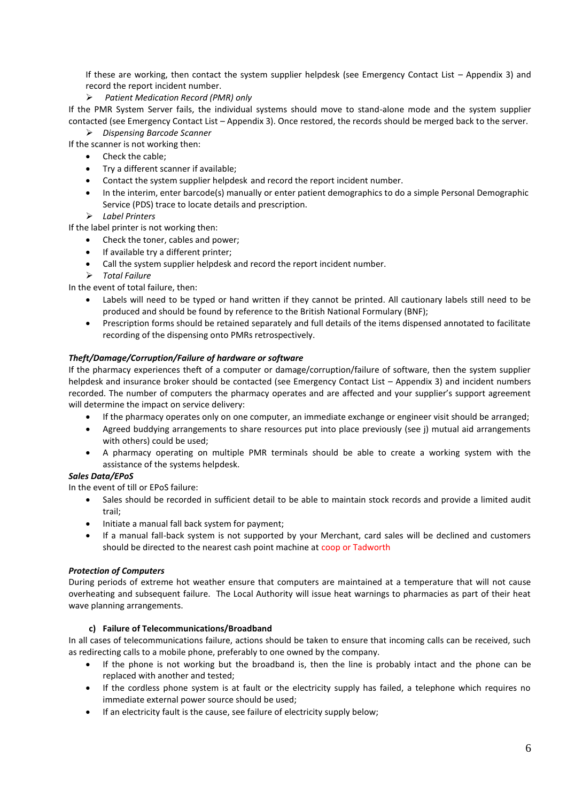If these are working, then contact the system supplier helpdesk (see Emergency Contact List – Appendix 3) and record the report incident number.

➢ *Patient Medication Record (PMR) only*

If the PMR System Server fails, the individual systems should move to stand-alone mode and the system supplier contacted (see Emergency Contact List – Appendix 3). Once restored, the records should be merged back to the server.

➢ *Dispensing Barcode Scanner*

- If the scanner is not working then:
	- Check the cable;
	- Try a different scanner if available;
	- Contact the system supplier helpdesk and record the report incident number.
	- In the interim, enter barcode(s) manually or enter patient demographics to do a simple Personal Demographic Service (PDS) trace to locate details and prescription.
	- ➢ *Label Printers*

If the label printer is not working then:

- Check the toner, cables and power;
- If available try a different printer;
- Call the system supplier helpdesk and record the report incident number.
- ➢ *Total Failure*

In the event of total failure, then:

- Labels will need to be typed or hand written if they cannot be printed. All cautionary labels still need to be produced and should be found by reference to the British National Formulary (BNF);
- Prescription forms should be retained separately and full details of the items dispensed annotated to facilitate recording of the dispensing onto PMRs retrospectively.

#### *Theft/Damage/Corruption/Failure of hardware or software*

If the pharmacy experiences theft of a computer or damage/corruption/failure of software, then the system supplier helpdesk and insurance broker should be contacted (see Emergency Contact List – Appendix 3) and incident numbers recorded. The number of computers the pharmacy operates and are affected and your supplier's support agreement will determine the impact on service delivery:

- If the pharmacy operates only on one computer, an immediate exchange or engineer visit should be arranged;
- Agreed buddying arrangements to share resources put into place previously (see j) mutual aid arrangements with others) could be used;
- A pharmacy operating on multiple PMR terminals should be able to create a working system with the assistance of the systems helpdesk.

#### *Sales Data/EPoS*

In the event of till or EPoS failure:

- Sales should be recorded in sufficient detail to be able to maintain stock records and provide a limited audit trail;
- Initiate a manual fall back system for payment;
- If a manual fall-back system is not supported by your Merchant, card sales will be declined and customers should be directed to the nearest cash point machine at coop or Tadworth

#### *Protection of Computers*

During periods of extreme hot weather ensure that computers are maintained at a temperature that will not cause overheating and subsequent failure. The Local Authority will issue heat warnings to pharmacies as part of their heat wave planning arrangements.

#### **c) Failure of Telecommunications/Broadband**

In all cases of telecommunications failure, actions should be taken to ensure that incoming calls can be received, such as redirecting calls to a mobile phone, preferably to one owned by the company.

- If the phone is not working but the broadband is, then the line is probably intact and the phone can be replaced with another and tested;
- If the cordless phone system is at fault or the electricity supply has failed, a telephone which requires no immediate external power source should be used;
- If an electricity fault is the cause, see failure of electricity supply below;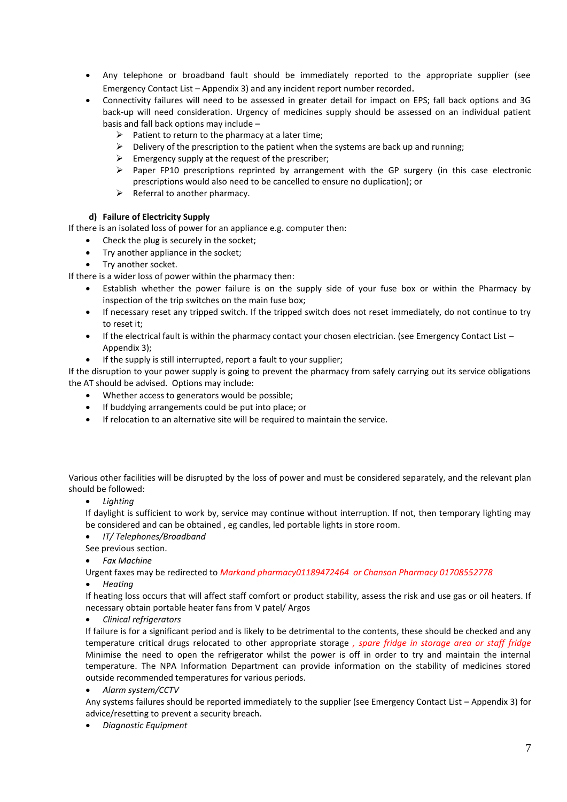- Any telephone or broadband fault should be immediately reported to the appropriate supplier (see Emergency Contact List – Appendix 3) and any incident report number recorded.
- Connectivity failures will need to be assessed in greater detail for impact on EPS; fall back options and 3G back-up will need consideration. Urgency of medicines supply should be assessed on an individual patient basis and fall back options may include –
	- $\triangleright$  Patient to return to the pharmacy at a later time;
	- $\triangleright$  Delivery of the prescription to the patient when the systems are back up and running;
	- $\triangleright$  Emergency supply at the request of the prescriber;
	- ➢ Paper FP10 prescriptions reprinted by arrangement with the GP surgery (in this case electronic prescriptions would also need to be cancelled to ensure no duplication); or
	- $\triangleright$  Referral to another pharmacy.

## **d) Failure of Electricity Supply**

If there is an isolated loss of power for an appliance e.g. computer then:

- Check the plug is securely in the socket;
- Try another appliance in the socket;
- Try another socket.

If there is a wider loss of power within the pharmacy then:

- Establish whether the power failure is on the supply side of your fuse box or within the Pharmacy by inspection of the trip switches on the main fuse box;
- If necessary reset any tripped switch. If the tripped switch does not reset immediately, do not continue to try to reset it;
- If the electrical fault is within the pharmacy contact your chosen electrician. (see Emergency Contact List Appendix 3);
- If the supply is still interrupted, report a fault to your supplier;

If the disruption to your power supply is going to prevent the pharmacy from safely carrying out its service obligations the AT should be advised. Options may include:

- Whether access to generators would be possible;
- If buddying arrangements could be put into place; or
- If relocation to an alternative site will be required to maintain the service.

Various other facilities will be disrupted by the loss of power and must be considered separately, and the relevant plan should be followed:

• *Lighting*

If daylight is sufficient to work by, service may continue without interruption. If not, then temporary lighting may be considered and can be obtained , eg candles, led portable lights in store room.

- *IT/ Telephones/Broadband*
- See previous section.
- *Fax Machine*

Urgent faxes may be redirected to *Markand pharmacy01189472464 or Chanson Pharmacy 01708552778*

• *Heating* 

If heating loss occurs that will affect staff comfort or product stability, assess the risk and use gas or oil heaters. If necessary obtain portable heater fans from V patel/ Argos

• *Clinical refrigerators* 

If failure is for a significant period and is likely to be detrimental to the contents, these should be checked and any temperature critical drugs relocated to other appropriate storage *, spare fridge in storage area or staff fridge* Minimise the need to open the refrigerator whilst the power is off in order to try and maintain the internal temperature. The NPA Information Department can provide information on the stability of medicines stored outside recommended temperatures for various periods.

• *Alarm system/CCTV*

Any systems failures should be reported immediately to the supplier (see Emergency Contact List – Appendix 3) for advice/resetting to prevent a security breach.

• *Diagnostic Equipment*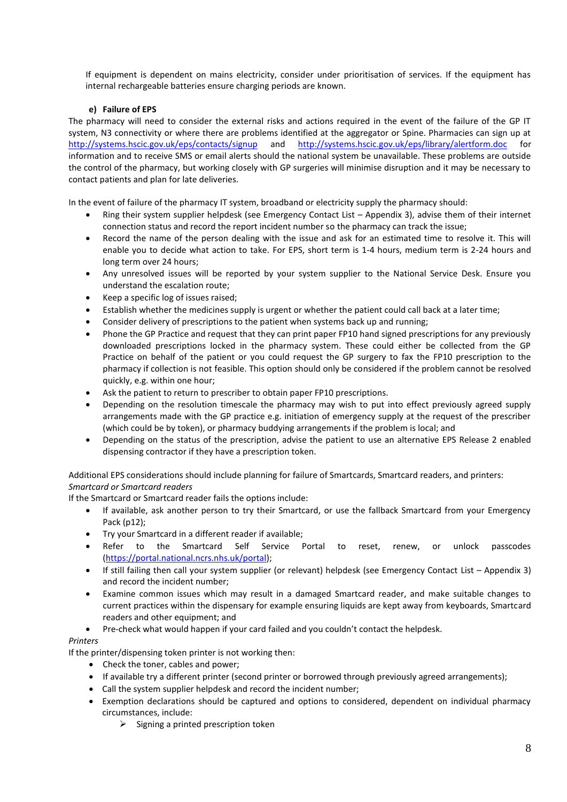If equipment is dependent on mains electricity, consider under prioritisation of services. If the equipment has internal rechargeable batteries ensure charging periods are known.

## **e) Failure of EPS**

The pharmacy will need to consider the external risks and actions required in the event of the failure of the GP IT system, N3 connectivity or where there are problems identified at the aggregator or Spine. Pharmacies can sign up at <http://systems.hscic.gov.uk/eps/contacts/signup> and <http://systems.hscic.gov.uk/eps/library/alertform.doc> for information and to receive SMS or email alerts should the national system be unavailable. These problems are outside the control of the pharmacy, but working closely with GP surgeries will minimise disruption and it may be necessary to contact patients and plan for late deliveries.

In the event of failure of the pharmacy IT system, broadband or electricity supply the pharmacy should:

- Ring their system supplier helpdesk (see Emergency Contact List Appendix 3), advise them of their internet connection status and record the report incident number so the pharmacy can track the issue;
- Record the name of the person dealing with the issue and ask for an estimated time to resolve it. This will enable you to decide what action to take. For EPS, short term is 1-4 hours, medium term is 2-24 hours and long term over 24 hours;
- Any unresolved issues will be reported by your system supplier to the National Service Desk. Ensure you understand the escalation route;
- Keep a specific log of issues raised;
- Establish whether the medicines supply is urgent or whether the patient could call back at a later time;
- Consider delivery of prescriptions to the patient when systems back up and running;
- Phone the GP Practice and request that they can print paper FP10 hand signed prescriptions for any previously downloaded prescriptions locked in the pharmacy system. These could either be collected from the GP Practice on behalf of the patient or you could request the GP surgery to fax the FP10 prescription to the pharmacy if collection is not feasible. This option should only be considered if the problem cannot be resolved quickly, e.g. within one hour;
- Ask the patient to return to prescriber to obtain paper FP10 prescriptions.
- Depending on the resolution timescale the pharmacy may wish to put into effect previously agreed supply arrangements made with the GP practice e.g. initiation of emergency supply at the request of the prescriber (which could be by token), or pharmacy buddying arrangements if the problem is local; and
- Depending on the status of the prescription, advise the patient to use an alternative EPS Release 2 enabled dispensing contractor if they have a prescription token.

Additional EPS considerations should include planning for failure of Smartcards, Smartcard readers, and printers: *Smartcard or Smartcard readers*

If the Smartcard or Smartcard reader fails the options include:

- If available, ask another person to try their Smartcard, or use the fallback Smartcard from your Emergency Pack (p12);
- Try your Smartcard in a different reader if available;
- Refer to the Smartcard Self Service Portal to reset, renew, or unlock passcodes [\(https://portal.national.ncrs.nhs.uk/portal\)](https://portal.national.ncrs.nhs.uk/portal);
- If still failing then call your system supplier (or relevant) helpdesk (see Emergency Contact List Appendix 3) and record the incident number;
- Examine common issues which may result in a damaged Smartcard reader, and make suitable changes to current practices within the dispensary for example ensuring liquids are kept away from keyboards, Smartcard readers and other equipment; and
- Pre-check what would happen if your card failed and you couldn't contact the helpdesk.

## *Printers*

If the printer/dispensing token printer is not working then:

- Check the toner, cables and power;
- If available try a different printer (second printer or borrowed through previously agreed arrangements);
- Call the system supplier helpdesk and record the incident number;
- Exemption declarations should be captured and options to considered, dependent on individual pharmacy circumstances, include:
	- $\triangleright$  Signing a printed prescription token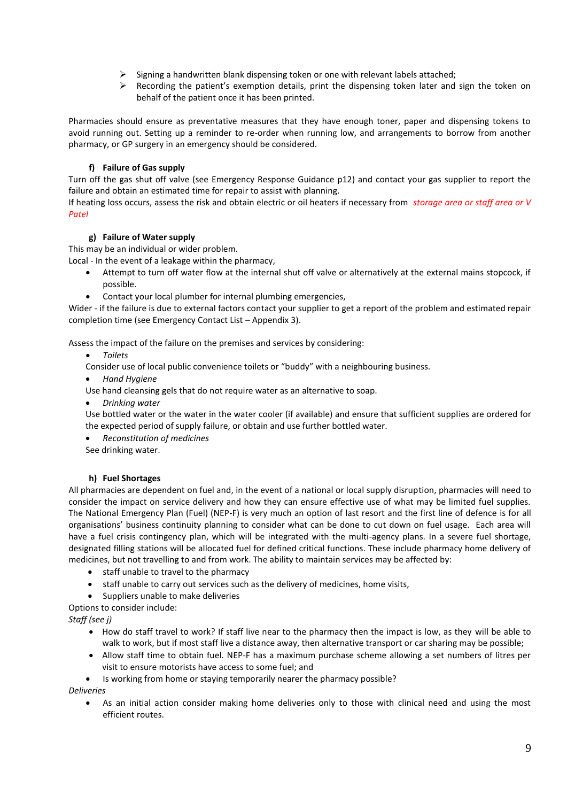- ➢ Signing a handwritten blank dispensing token or one with relevant labels attached;
- $\triangleright$  Recording the patient's exemption details, print the dispensing token later and sign the token on behalf of the patient once it has been printed.

Pharmacies should ensure as preventative measures that they have enough toner, paper and dispensing tokens to avoid running out. Setting up a reminder to re-order when running low, and arrangements to borrow from another pharmacy, or GP surgery in an emergency should be considered.

#### **f) Failure of Gas supply**

Turn off the gas shut off valve (see Emergency Response Guidance p12) and contact your gas supplier to report the failure and obtain an estimated time for repair to assist with planning.

If heating loss occurs, assess the risk and obtain electric or oil heaters if necessary from *storage area or staff area or V Patel*

#### **g) Failure of Water supply**

This may be an individual or wider problem.

Local - In the event of a leakage within the pharmacy,

- Attempt to turn off water flow at the internal shut off valve or alternatively at the external mains stopcock, if possible.
- Contact your local plumber for internal plumbing emergencies,

Wider - if the failure is due to external factors contact your supplier to get a report of the problem and estimated repair completion time (see Emergency Contact List – Appendix 3).

Assess the impact of the failure on the premises and services by considering:

- *Toilets*
- Consider use of local public convenience toilets or "buddy" with a neighbouring business.
- *Hand Hygiene*

Use hand cleansing gels that do not require water as an alternative to soap.

• *Drinking water* 

Use bottled water or the water in the water cooler (if available) and ensure that sufficient supplies are ordered for the expected period of supply failure, or obtain and use further bottled water.

• *Reconstitution of medicines* See drinking water.

#### **h) Fuel Shortages**

All pharmacies are dependent on fuel and, in the event of a national or local supply disruption, pharmacies will need to consider the impact on service delivery and how they can ensure effective use of what may be limited fuel supplies. The National Emergency Plan (Fuel) (NEP-F) is very much an option of last resort and the first line of defence is for all organisations' business continuity planning to consider what can be done to cut down on fuel usage. Each area will have a fuel crisis contingency plan, which will be integrated with the multi-agency plans. In a severe fuel shortage, designated filling stations will be allocated fuel for defined critical functions. These include pharmacy home delivery of medicines, but not travelling to and from work. The ability to maintain services may be affected by:

- staff unable to travel to the pharmacy
- staff unable to carry out services such as the delivery of medicines, home visits,
- Suppliers unable to make deliveries

Options to consider include:

*Staff (see j)*

- How do staff travel to work? If staff live near to the pharmacy then the impact is low, as they will be able to walk to work, but if most staff live a distance away, then alternative transport or car sharing may be possible;
- Allow staff time to obtain fuel. NEP-F has a maximum purchase scheme allowing a set numbers of litres per visit to ensure motorists have access to some fuel; and
- Is working from home or staying temporarily nearer the pharmacy possible?

*Deliveries*

As an initial action consider making home deliveries only to those with clinical need and using the most efficient routes.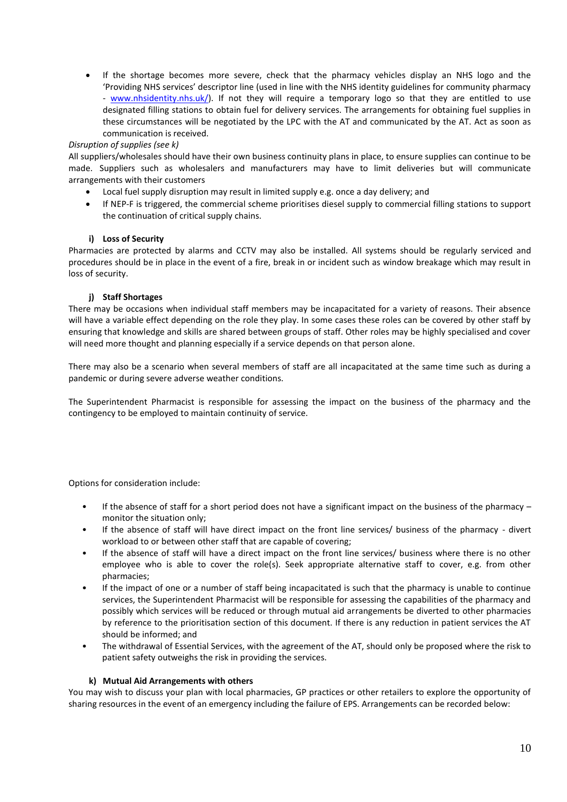• If the shortage becomes more severe, check that the pharmacy vehicles display an NHS logo and the 'Providing NHS services' descriptor line (used in line with the NHS identity guidelines for community pharmacy - [www.nhsidentity.nhs.uk/\)](http://www.nhsidentity.nhs.uk/). If not they will require a temporary logo so that they are entitled to use designated filling stations to obtain fuel for delivery services. The arrangements for obtaining fuel supplies in these circumstances will be negotiated by the LPC with the AT and communicated by the AT. Act as soon as communication is received.

#### *Disruption of supplies (see k)*

All suppliers/wholesales should have their own business continuity plans in place, to ensure supplies can continue to be made. Suppliers such as wholesalers and manufacturers may have to limit deliveries but will communicate arrangements with their customers

- Local fuel supply disruption may result in limited supply e.g. once a day delivery; and
- If NEP-F is triggered, the commercial scheme prioritises diesel supply to commercial filling stations to support the continuation of critical supply chains.

#### **i) Loss of Security**

Pharmacies are protected by alarms and CCTV may also be installed. All systems should be regularly serviced and procedures should be in place in the event of a fire, break in or incident such as window breakage which may result in loss of security.

#### **j) Staff Shortages**

There may be occasions when individual staff members may be incapacitated for a variety of reasons. Their absence will have a variable effect depending on the role they play. In some cases these roles can be covered by other staff by ensuring that knowledge and skills are shared between groups of staff. Other roles may be highly specialised and cover will need more thought and planning especially if a service depends on that person alone.

There may also be a scenario when several members of staff are all incapacitated at the same time such as during a pandemic or during severe adverse weather conditions.

The Superintendent Pharmacist is responsible for assessing the impact on the business of the pharmacy and the contingency to be employed to maintain continuity of service.

Options for consideration include:

- If the absence of staff for a short period does not have a significant impact on the business of the pharmacy monitor the situation only;
- If the absence of staff will have direct impact on the front line services/ business of the pharmacy divert workload to or between other staff that are capable of covering;
- If the absence of staff will have a direct impact on the front line services/ business where there is no other employee who is able to cover the role(s). Seek appropriate alternative staff to cover, e.g. from other pharmacies;
- If the impact of one or a number of staff being incapacitated is such that the pharmacy is unable to continue services, the Superintendent Pharmacist will be responsible for assessing the capabilities of the pharmacy and possibly which services will be reduced or through mutual aid arrangements be diverted to other pharmacies by reference to the prioritisation section of this document. If there is any reduction in patient services the AT should be informed; and
- The withdrawal of Essential Services, with the agreement of the AT, should only be proposed where the risk to patient safety outweighs the risk in providing the services.

#### **k) Mutual Aid Arrangements with others**

You may wish to discuss your plan with local pharmacies, GP practices or other retailers to explore the opportunity of sharing resources in the event of an emergency including the failure of EPS. Arrangements can be recorded below: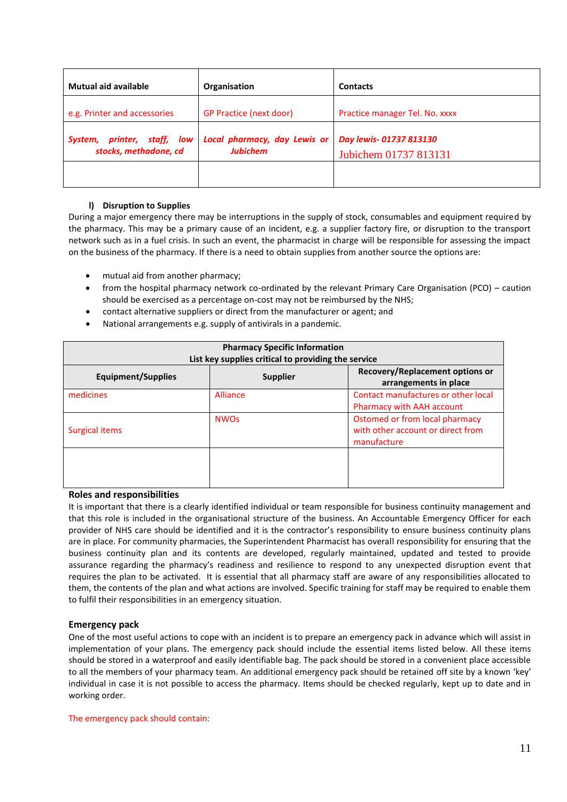| <b>Mutual aid available</b>                             | Organisation                                    | <b>Contacts</b>                                 |
|---------------------------------------------------------|-------------------------------------------------|-------------------------------------------------|
| e.g. Printer and accessories                            | <b>GP Practice (next door)</b>                  | Practice manager Tel. No. xxxx                  |
| printer, staff, low<br>System,<br>stocks, methadone, cd | Local pharmacy, day Lewis or<br><b>Jubichem</b> | Day lewis-01737 813130<br>Jubichem 01737 813131 |
|                                                         |                                                 |                                                 |

#### **l) Disruption to Supplies**

During a major emergency there may be interruptions in the supply of stock, consumables and equipment required by the pharmacy. This may be a primary cause of an incident, e.g. a supplier factory fire, or disruption to the transport network such as in a fuel crisis. In such an event, the pharmacist in charge will be responsible for assessing the impact on the business of the pharmacy. If there is a need to obtain supplies from another source the options are:

- mutual aid from another pharmacy;
- from the hospital pharmacy network co-ordinated by the relevant Primary Care Organisation (PCO) caution should be exercised as a percentage on-cost may not be reimbursed by the NHS;
- contact alternative suppliers or direct from the manufacturer or agent; and
- National arrangements e.g. supply of antivirals in a pandemic.

| <b>Pharmacy Specific Information</b><br>List key supplies critical to providing the service |                        |                                                                                    |
|---------------------------------------------------------------------------------------------|------------------------|------------------------------------------------------------------------------------|
| Equipment/Supplies                                                                          | <b>Supplier</b>        | Recovery/Replacement options or<br>arrangements in place                           |
| medicines                                                                                   | Alliance               | Contact manufactures or other local<br>Pharmacy with AAH account                   |
| Surgical items                                                                              | <b>NWO<sub>S</sub></b> | Ostomed or from local pharmacy<br>with other account or direct from<br>manufacture |
|                                                                                             |                        |                                                                                    |

#### **Roles and responsibilities**

It is important that there is a clearly identified individual or team responsible for business continuity management and that this role is included in the organisational structure of the business. An Accountable Emergency Officer for each provider of NHS care should be identified and it is the contractor's responsibility to ensure business continuity plans are in place. For community pharmacies, the Superintendent Pharmacist has overall responsibility for ensuring that the business continuity plan and its contents are developed, regularly maintained, updated and tested to provide assurance regarding the pharmacy's readiness and resilience to respond to any unexpected disruption event that requires the plan to be activated. It is essential that all pharmacy staff are aware of any responsibilities allocated to them, the contents of the plan and what actions are involved. Specific training for staff may be required to enable them to fulfil their responsibilities in an emergency situation.

#### **Emergency pack**

One of the most useful actions to cope with an incident is to prepare an emergency pack in advance which will assist in implementation of your plans. The emergency pack should include the essential items listed below. All these items should be stored in a waterproof and easily identifiable bag. The pack should be stored in a convenient place accessible to all the members of your pharmacy team. An additional emergency pack should be retained off site by a known 'key' individual in case it is not possible to access the pharmacy. Items should be checked regularly, kept up to date and in working order.

#### The emergency pack should contain: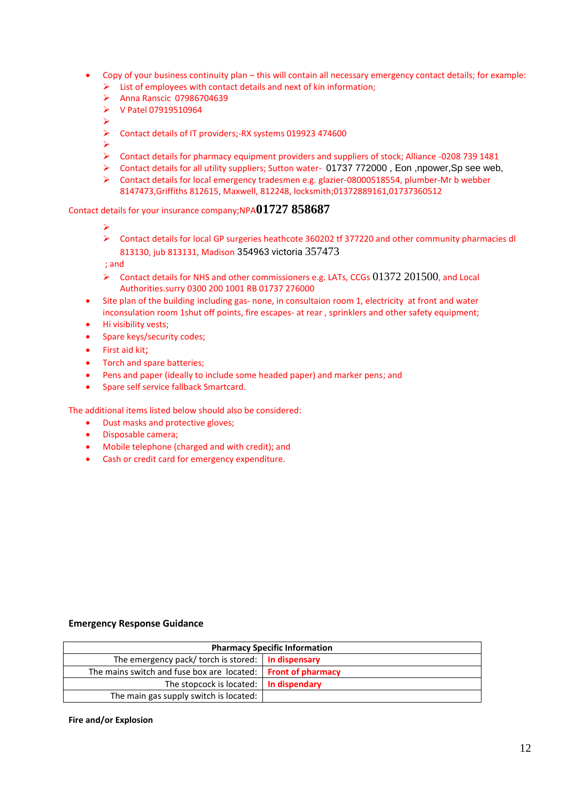- Copy of your business continuity plan this will contain all necessary emergency contact details; for example:
	- ➢ List of employees with contact details and next of kin information;
	- ➢ Anna Ranscic 07986704639
	- ➢ V Patel 07919510964
	- ➢
	- ➢ Contact details of IT providers;-RX systems 019923 474600
	- ➢
	- ➢ Contact details for pharmacy equipment providers and suppliers of stock; Alliance -0208 739 1481
	- ➢ Contact details for all utility suppliers; Sutton water- 01737 772000 , Eon ,npower,Sp see web,
	- $\triangleright$  Contact details for local emergency tradesmen e.g. glazier-08000518554, plumber-Mr b webber 8147473,Griffiths 812615, Maxwell, 812248, locksmith;01372889161,01737360512

## Contact details for your insurance company;NPA**01727 858687**

- ➢
- ➢ Contact details for local GP surgeries heathcote 360202 tf 377220 and other community pharmacies dl 813130, jub 813131, Madison 354963 victoria 357473

; and

- $\triangleright$  Contact details for NHS and other commissioners e.g. LATs, CCGs  $01372$  201500, and Local Authorities.surry 0300 200 1001 RB 01737 276000
- Site plan of the building including gas- none, in consultaion room 1, electricity at front and water inconsulation room 1shut off points, fire escapes- at rear , sprinklers and other safety equipment;
- Hi visibility vests;
- Spare keys/security codes;
- First aid kit;
- Torch and spare batteries;
- Pens and paper (ideally to include some headed paper) and marker pens; and
- Spare self service fallback Smartcard.

The additional items listed below should also be considered:

- Dust masks and protective gloves;
- Disposable camera;
- Mobile telephone (charged and with credit); and
- Cash or credit card for emergency expenditure.

#### **Emergency Response Guidance**

| <b>Pharmacy Specific Information</b>                                |  |  |
|---------------------------------------------------------------------|--|--|
| The emergency pack/ torch is stored: $\vert$ In dispensary          |  |  |
| The mains switch and fuse box are located: <b>Front of pharmacy</b> |  |  |
| The stopcock is located: $\vert \cdot \vert$ in dispendary          |  |  |
| The main gas supply switch is located:                              |  |  |

#### **Fire and/or Explosion**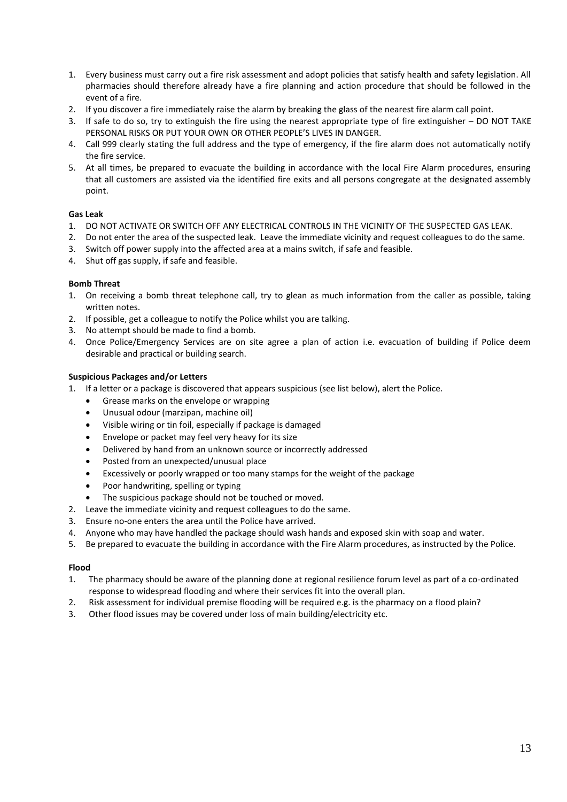- 1. Every business must carry out a fire risk assessment and adopt policies that satisfy health and safety legislation. All pharmacies should therefore already have a fire planning and action procedure that should be followed in the event of a fire.
- 2. If you discover a fire immediately raise the alarm by breaking the glass of the nearest fire alarm call point.
- 3. If safe to do so, try to extinguish the fire using the nearest appropriate type of fire extinguisher DO NOT TAKE PERSONAL RISKS OR PUT YOUR OWN OR OTHER PEOPLE'S LIVES IN DANGER.
- 4. Call 999 clearly stating the full address and the type of emergency, if the fire alarm does not automatically notify the fire service.
- 5. At all times, be prepared to evacuate the building in accordance with the local Fire Alarm procedures, ensuring that all customers are assisted via the identified fire exits and all persons congregate at the designated assembly point.

#### **Gas Leak**

- 1. DO NOT ACTIVATE OR SWITCH OFF ANY ELECTRICAL CONTROLS IN THE VICINITY OF THE SUSPECTED GAS LEAK.
- 2. Do not enter the area of the suspected leak. Leave the immediate vicinity and request colleagues to do the same.
- 3. Switch off power supply into the affected area at a mains switch, if safe and feasible.
- 4. Shut off gas supply, if safe and feasible.

#### **Bomb Threat**

- 1. On receiving a bomb threat telephone call, try to glean as much information from the caller as possible, taking written notes.
- 2. If possible, get a colleague to notify the Police whilst you are talking.
- 3. No attempt should be made to find a bomb.
- 4. Once Police/Emergency Services are on site agree a plan of action i.e. evacuation of building if Police deem desirable and practical or building search.

#### **Suspicious Packages and/or Letters**

- 1. If a letter or a package is discovered that appears suspicious (see list below), alert the Police.
	- Grease marks on the envelope or wrapping
	- Unusual odour (marzipan, machine oil)
	- Visible wiring or tin foil, especially if package is damaged
	- Envelope or packet may feel very heavy for its size
	- Delivered by hand from an unknown source or incorrectly addressed
	- Posted from an unexpected/unusual place
	- Excessively or poorly wrapped or too many stamps for the weight of the package
	- Poor handwriting, spelling or typing
	- The suspicious package should not be touched or moved.
- 2. Leave the immediate vicinity and request colleagues to do the same.
- 3. Ensure no-one enters the area until the Police have arrived.
- 4. Anyone who may have handled the package should wash hands and exposed skin with soap and water.
- 5. Be prepared to evacuate the building in accordance with the Fire Alarm procedures, as instructed by the Police.

#### **Flood**

- 1.The pharmacy should be aware of the planning done at regional resilience forum level as part of a co-ordinated response to widespread flooding and where their services fit into the overall plan.
- 2. Risk assessment for individual premise flooding will be required e.g. is the pharmacy on a flood plain?
- 3. Other flood issues may be covered under loss of main building/electricity etc.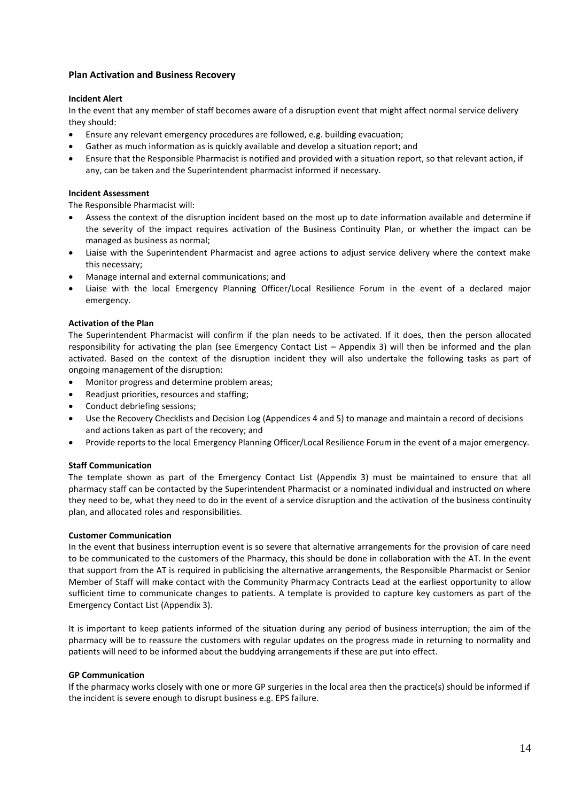#### **Plan Activation and Business Recovery**

#### **Incident Alert**

In the event that any member of staff becomes aware of a disruption event that might affect normal service delivery they should:

- Ensure any relevant emergency procedures are followed, e.g. building evacuation;
- Gather as much information as is quickly available and develop a situation report; and
- Ensure that the Responsible Pharmacist is notified and provided with a situation report, so that relevant action, if any, can be taken and the Superintendent pharmacist informed if necessary.

#### **Incident Assessment**

The Responsible Pharmacist will:

- Assess the context of the disruption incident based on the most up to date information available and determine if the severity of the impact requires activation of the Business Continuity Plan, or whether the impact can be managed as business as normal;
- Liaise with the Superintendent Pharmacist and agree actions to adjust service delivery where the context make this necessary;
- Manage internal and external communications; and
- Liaise with the local Emergency Planning Officer/Local Resilience Forum in the event of a declared major emergency.

#### **Activation of the Plan**

The Superintendent Pharmacist will confirm if the plan needs to be activated. If it does, then the person allocated responsibility for activating the plan (see Emergency Contact List – Appendix 3) will then be informed and the plan activated. Based on the context of the disruption incident they will also undertake the following tasks as part of ongoing management of the disruption:

- Monitor progress and determine problem areas;
- Readjust priorities, resources and staffing;
- Conduct debriefing sessions;
- Use the Recovery Checklists and Decision Log (Appendices 4 and 5) to manage and maintain a record of decisions and actions taken as part of the recovery; and
- Provide reports to the local Emergency Planning Officer/Local Resilience Forum in the event of a major emergency.

#### **Staff Communication**

The template shown as part of the Emergency Contact List (Appendix 3) must be maintained to ensure that all pharmacy staff can be contacted by the Superintendent Pharmacist or a nominated individual and instructed on where they need to be, what they need to do in the event of a service disruption and the activation of the business continuity plan, and allocated roles and responsibilities.

#### **Customer Communication**

In the event that business interruption event is so severe that alternative arrangements for the provision of care need to be communicated to the customers of the Pharmacy, this should be done in collaboration with the AT. In the event that support from the AT is required in publicising the alternative arrangements, the Responsible Pharmacist or Senior Member of Staff will make contact with the Community Pharmacy Contracts Lead at the earliest opportunity to allow sufficient time to communicate changes to patients. A template is provided to capture key customers as part of the Emergency Contact List (Appendix 3).

It is important to keep patients informed of the situation during any period of business interruption; the aim of the pharmacy will be to reassure the customers with regular updates on the progress made in returning to normality and patients will need to be informed about the buddying arrangements if these are put into effect.

#### **GP Communication**

If the pharmacy works closely with one or more GP surgeries in the local area then the practice(s) should be informed if the incident is severe enough to disrupt business e.g. EPS failure.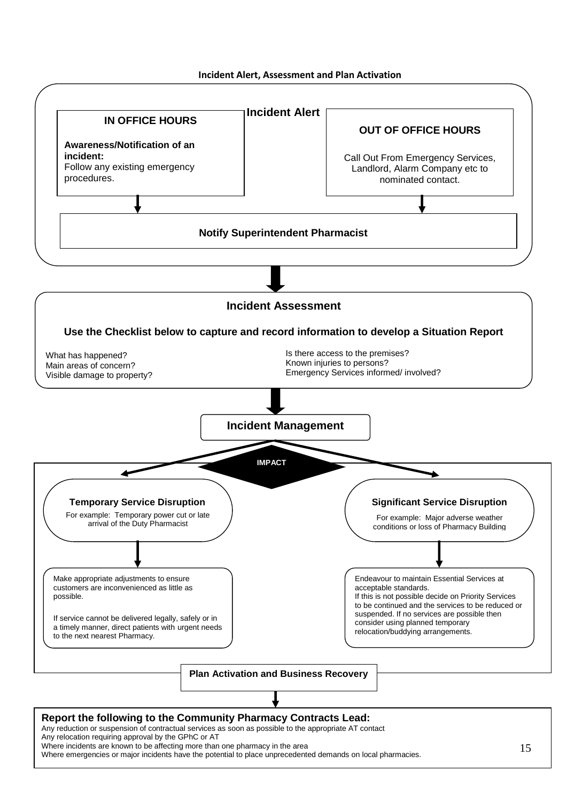**Incident Alert, Assessment and Plan Activation**

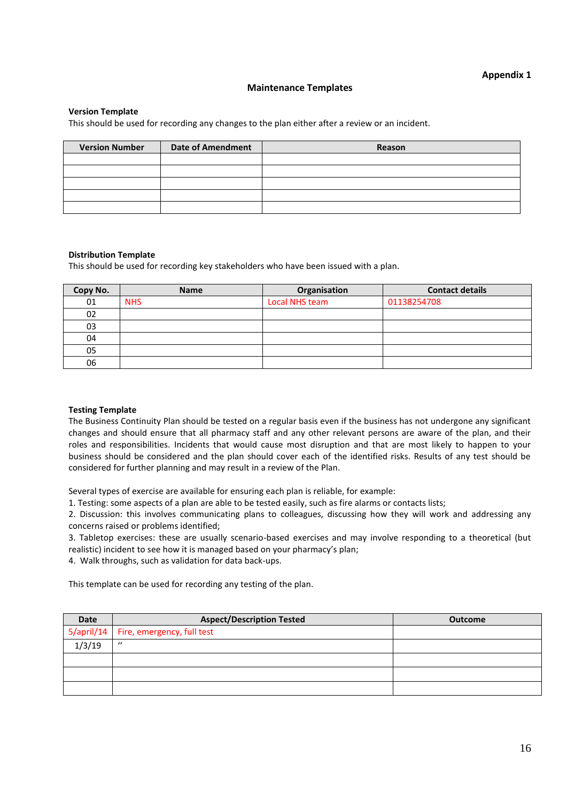#### **Maintenance Templates**

#### **Version Template**

This should be used for recording any changes to the plan either after a review or an incident.

| <b>Version Number</b> | <b>Date of Amendment</b> |        |
|-----------------------|--------------------------|--------|
|                       |                          | Reason |
|                       |                          |        |
|                       |                          |        |
|                       |                          |        |
|                       |                          |        |
|                       |                          |        |

#### **Distribution Template**

This should be used for recording key stakeholders who have been issued with a plan.

| Copy No. | <b>Name</b> | Organisation   | <b>Contact details</b> |
|----------|-------------|----------------|------------------------|
| 01       | <b>NHS</b>  | Local NHS team | 01138254708            |
| 02       |             |                |                        |
| 03       |             |                |                        |
| 04       |             |                |                        |
| 05       |             |                |                        |
| 06       |             |                |                        |

#### **Testing Template**

The Business Continuity Plan should be tested on a regular basis even if the business has not undergone any significant changes and should ensure that all pharmacy staff and any other relevant persons are aware of the plan, and their roles and responsibilities. Incidents that would cause most disruption and that are most likely to happen to your business should be considered and the plan should cover each of the identified risks. Results of any test should be considered for further planning and may result in a review of the Plan.

Several types of exercise are available for ensuring each plan is reliable, for example:

1. Testing: some aspects of a plan are able to be tested easily, such as fire alarms or contacts lists;

2. Discussion: this involves communicating plans to colleagues, discussing how they will work and addressing any concerns raised or problems identified;

3. Tabletop exercises: these are usually scenario-based exercises and may involve responding to a theoretical (but realistic) incident to see how it is managed based on your pharmacy's plan;

4. Walk throughs, such as validation for data back-ups.

This template can be used for recording any testing of the plan.

| Date   | <b>Aspect/Description Tested</b>      | <b>Outcome</b> |
|--------|---------------------------------------|----------------|
|        | 5/april/14 Fire, emergency, full test |                |
| 1/3/19 | $\prime$                              |                |
|        |                                       |                |
|        |                                       |                |
|        |                                       |                |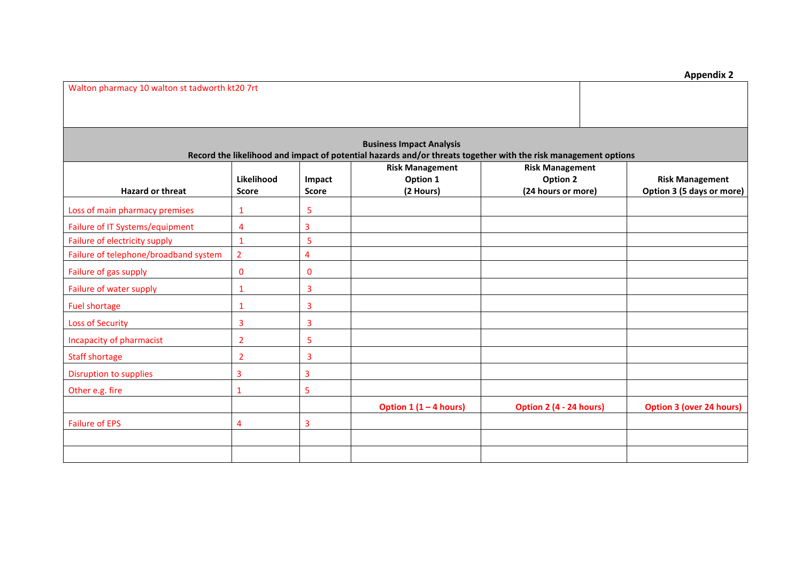| <b>Appendix 2</b> |  |
|-------------------|--|
|-------------------|--|

| Walton pharmacy 10 walton st tadworth kt20 7rt |                            |                        |                                                                                                                                                   |                                                                 |                                                     |
|------------------------------------------------|----------------------------|------------------------|---------------------------------------------------------------------------------------------------------------------------------------------------|-----------------------------------------------------------------|-----------------------------------------------------|
|                                                |                            |                        |                                                                                                                                                   |                                                                 |                                                     |
|                                                |                            |                        | <b>Business Impact Analysis</b><br>Record the likelihood and impact of potential hazards and/or threats together with the risk management options |                                                                 |                                                     |
| <b>Hazard or threat</b>                        | Likelihood<br><b>Score</b> | Impact<br><b>Score</b> | <b>Risk Management</b><br>Option 1<br>(2 Hours)                                                                                                   | <b>Risk Management</b><br><b>Option 2</b><br>(24 hours or more) | <b>Risk Management</b><br>Option 3 (5 days or more) |
| Loss of main pharmacy premises                 |                            | 5                      |                                                                                                                                                   |                                                                 |                                                     |
| Failure of IT Systems/equipment                | 4                          | 3                      |                                                                                                                                                   |                                                                 |                                                     |
| Failure of electricity supply                  | $\mathbf{1}$               | 5                      |                                                                                                                                                   |                                                                 |                                                     |
| Failure of telephone/broadband system          | $\overline{2}$             | 4                      |                                                                                                                                                   |                                                                 |                                                     |
| Failure of gas supply                          | 0                          | 0                      |                                                                                                                                                   |                                                                 |                                                     |
| Failure of water supply                        |                            | 3                      |                                                                                                                                                   |                                                                 |                                                     |
| <b>Fuel shortage</b>                           | 1                          | 3                      |                                                                                                                                                   |                                                                 |                                                     |
| <b>Loss of Security</b>                        | 3                          | 3                      |                                                                                                                                                   |                                                                 |                                                     |
| Incapacity of pharmacist                       | $\overline{2}$             | 5                      |                                                                                                                                                   |                                                                 |                                                     |
| <b>Staff shortage</b>                          | $\overline{2}$             | 3                      |                                                                                                                                                   |                                                                 |                                                     |
| Disruption to supplies                         | 3                          | 3                      |                                                                                                                                                   |                                                                 |                                                     |
| Other e.g. fire                                | 1                          | 5                      |                                                                                                                                                   |                                                                 |                                                     |
|                                                |                            |                        | Option $1(1-4$ hours)                                                                                                                             | Option 2 (4 - 24 hours)                                         | <b>Option 3 (over 24 hours)</b>                     |
| <b>Failure of EPS</b>                          | 4                          | $\overline{3}$         |                                                                                                                                                   |                                                                 |                                                     |
|                                                |                            |                        |                                                                                                                                                   |                                                                 |                                                     |
|                                                |                            |                        |                                                                                                                                                   |                                                                 |                                                     |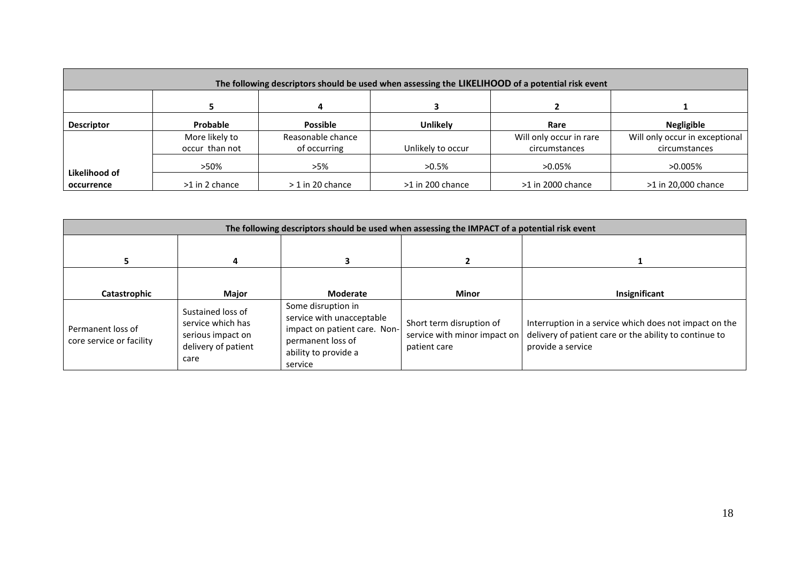| The following descriptors should be used when assessing the LIKELIHOOD of a potential risk event |                 |                    |                   |                         |                                |  |  |
|--------------------------------------------------------------------------------------------------|-----------------|--------------------|-------------------|-------------------------|--------------------------------|--|--|
|                                                                                                  |                 |                    |                   |                         |                                |  |  |
| <b>Descriptor</b>                                                                                | <b>Probable</b> | <b>Possible</b>    | <b>Unlikely</b>   | Rare                    | <b>Negligible</b>              |  |  |
|                                                                                                  | More likely to  | Reasonable chance  |                   | Will only occur in rare | Will only occur in exceptional |  |  |
|                                                                                                  | occur than not  | of occurring       | Unlikely to occur | circumstances           | circumstances                  |  |  |
|                                                                                                  | >50%            | >5%                | $>0.5\%$          | $>0.05\%$               | $>0.005\%$                     |  |  |
| Likelihood of                                                                                    |                 |                    |                   |                         |                                |  |  |
| occurrence                                                                                       | >1 in 2 chance  | $>$ 1 in 20 chance | >1 in 200 chance  | >1 in 2000 chance       | >1 in 20,000 chance            |  |  |

|                                               | The following descriptors should be used when assessing the IMPACT of a potential risk event |                                                                                                                                         |                                                                          |                                                                                                                                       |  |  |
|-----------------------------------------------|----------------------------------------------------------------------------------------------|-----------------------------------------------------------------------------------------------------------------------------------------|--------------------------------------------------------------------------|---------------------------------------------------------------------------------------------------------------------------------------|--|--|
|                                               |                                                                                              |                                                                                                                                         |                                                                          |                                                                                                                                       |  |  |
| Catastrophic                                  | Major                                                                                        | Moderate                                                                                                                                | <b>Minor</b>                                                             | Insignificant                                                                                                                         |  |  |
| Permanent loss of<br>core service or facility | Sustained loss of<br>service which has<br>serious impact on<br>delivery of patient<br>care   | Some disruption in<br>service with unacceptable<br>impact on patient care. Non-<br>permanent loss of<br>ability to provide a<br>service | Short term disruption of<br>service with minor impact on<br>patient care | Interruption in a service which does not impact on the<br>delivery of patient care or the ability to continue to<br>provide a service |  |  |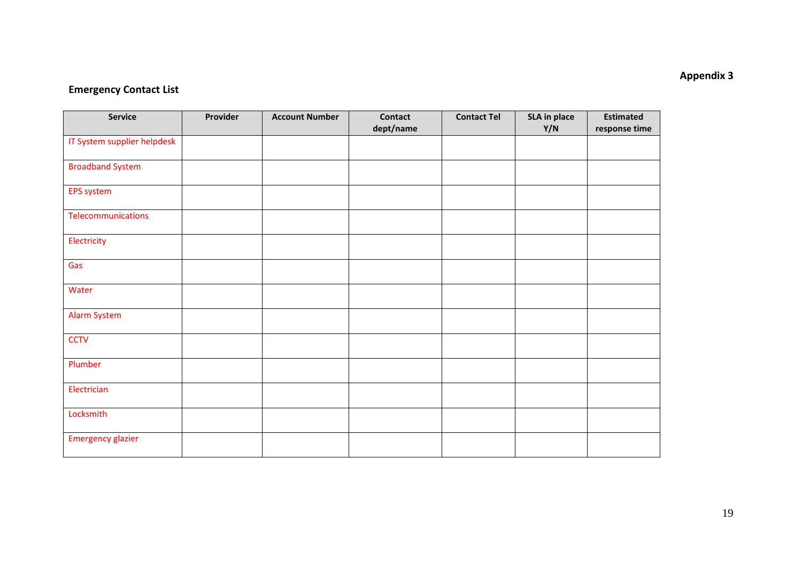## **Emergency Contact List**

| <b>Service</b>              | Provider | <b>Account Number</b> | <b>Contact</b> | <b>Contact Tel</b> | SLA in place | <b>Estimated</b> |
|-----------------------------|----------|-----------------------|----------------|--------------------|--------------|------------------|
|                             |          |                       | dept/name      |                    | Y/N          | response time    |
| IT System supplier helpdesk |          |                       |                |                    |              |                  |
| <b>Broadband System</b>     |          |                       |                |                    |              |                  |
| <b>EPS system</b>           |          |                       |                |                    |              |                  |
| Telecommunications          |          |                       |                |                    |              |                  |
| Electricity                 |          |                       |                |                    |              |                  |
| Gas                         |          |                       |                |                    |              |                  |
| Water                       |          |                       |                |                    |              |                  |
| <b>Alarm System</b>         |          |                       |                |                    |              |                  |
| <b>CCTV</b>                 |          |                       |                |                    |              |                  |
| Plumber                     |          |                       |                |                    |              |                  |
| Electrician                 |          |                       |                |                    |              |                  |
| Locksmith                   |          |                       |                |                    |              |                  |
| <b>Emergency glazier</b>    |          |                       |                |                    |              |                  |

## **Appendix 3**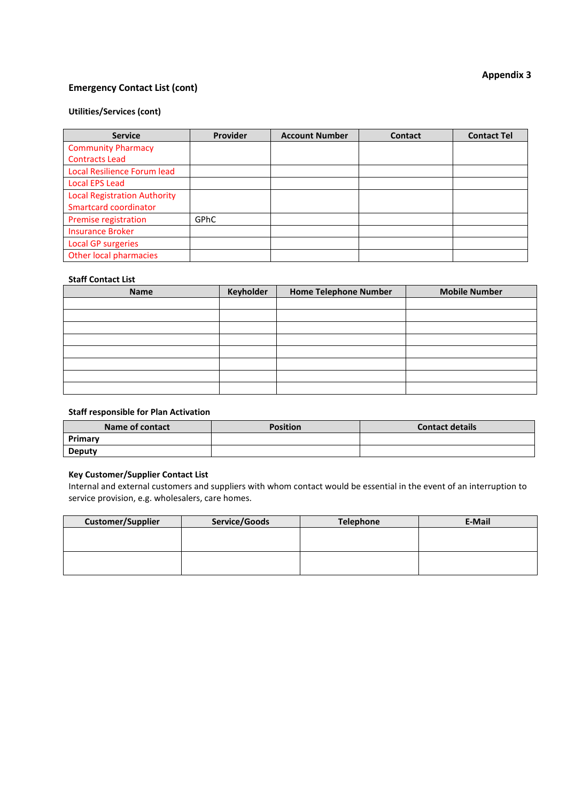## **Emergency Contact List (cont)**

#### **Utilities/Services (cont)**

| <b>Service</b>                      | Provider | <b>Account Number</b> | <b>Contact</b> | <b>Contact Tel</b> |
|-------------------------------------|----------|-----------------------|----------------|--------------------|
| <b>Community Pharmacy</b>           |          |                       |                |                    |
| <b>Contracts Lead</b>               |          |                       |                |                    |
| Local Resilience Forum lead         |          |                       |                |                    |
| <b>Local EPS Lead</b>               |          |                       |                |                    |
| <b>Local Registration Authority</b> |          |                       |                |                    |
| Smartcard coordinator               |          |                       |                |                    |
| Premise registration                | GPhC     |                       |                |                    |
| <b>Insurance Broker</b>             |          |                       |                |                    |
| <b>Local GP surgeries</b>           |          |                       |                |                    |
| Other local pharmacies              |          |                       |                |                    |

## **Staff Contact List**

| <b>Name</b> | <b>Keyholder</b> | <b>Home Telephone Number</b> | <b>Mobile Number</b> |
|-------------|------------------|------------------------------|----------------------|
|             |                  |                              |                      |
|             |                  |                              |                      |
|             |                  |                              |                      |
|             |                  |                              |                      |
|             |                  |                              |                      |
|             |                  |                              |                      |
|             |                  |                              |                      |
|             |                  |                              |                      |

#### **Staff responsible for Plan Activation**

| Name of contact | <b>Position</b> | <b>Contact details</b> |
|-----------------|-----------------|------------------------|
| Primary         |                 |                        |
| Deputy          |                 |                        |

#### **Key Customer/Supplier Contact List**

Internal and external customers and suppliers with whom contact would be essential in the event of an interruption to service provision, e.g. wholesalers, care homes.

| <b>Customer/Supplier</b> | Service/Goods | Telephone | E-Mail |
|--------------------------|---------------|-----------|--------|
|                          |               |           |        |
|                          |               |           |        |
|                          |               |           |        |
|                          |               |           |        |

## **Appendix 3**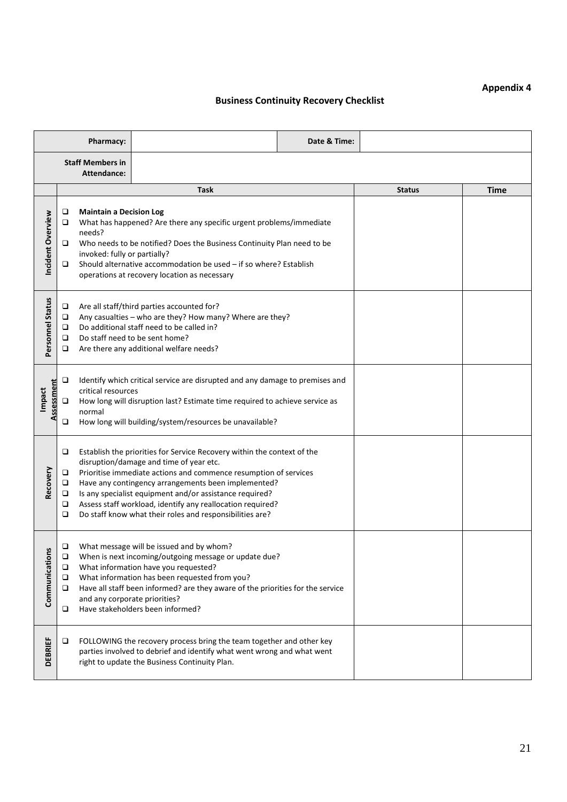## **Appendix 4**

## **Business Continuity Recovery Checklist**

|                      |                                                                                                                                                                                                                                                           | Pharmacy:                                                                |                                                                                                                                                                                                                                                                                                                                                                                                                                    | Date & Time: |               |             |  |
|----------------------|-----------------------------------------------------------------------------------------------------------------------------------------------------------------------------------------------------------------------------------------------------------|--------------------------------------------------------------------------|------------------------------------------------------------------------------------------------------------------------------------------------------------------------------------------------------------------------------------------------------------------------------------------------------------------------------------------------------------------------------------------------------------------------------------|--------------|---------------|-------------|--|
|                      | <b>Staff Members in</b><br>Attendance:                                                                                                                                                                                                                    |                                                                          |                                                                                                                                                                                                                                                                                                                                                                                                                                    |              |               |             |  |
|                      |                                                                                                                                                                                                                                                           |                                                                          | <b>Task</b>                                                                                                                                                                                                                                                                                                                                                                                                                        |              | <b>Status</b> | <b>Time</b> |  |
| Incident Overview    | □<br>□<br>□<br>❏                                                                                                                                                                                                                                          | <b>Maintain a Decision Log</b><br>needs?<br>invoked: fully or partially? | What has happened? Are there any specific urgent problems/immediate<br>Who needs to be notified? Does the Business Continuity Plan need to be<br>Should alternative accommodation be used - if so where? Establish<br>operations at recovery location as necessary                                                                                                                                                                 |              |               |             |  |
| Personnel Status     | Are all staff/third parties accounted for?<br>□<br>Any casualties - who are they? How many? Where are they?<br>❏<br>Do additional staff need to be called in?<br>□<br>Do staff need to be sent home?<br>o<br>Are there any additional welfare needs?<br>o |                                                                          |                                                                                                                                                                                                                                                                                                                                                                                                                                    |              |               |             |  |
| Assessment<br>Impact | □<br>❏<br>□                                                                                                                                                                                                                                               | critical resources<br>normal                                             | Identify which critical service are disrupted and any damage to premises and<br>How long will disruption last? Estimate time required to achieve service as<br>How long will building/system/resources be unavailable?                                                                                                                                                                                                             |              |               |             |  |
| Recovery             | □<br>❏<br>❏<br>□<br>□<br>❏                                                                                                                                                                                                                                |                                                                          | Establish the priorities for Service Recovery within the context of the<br>disruption/damage and time of year etc.<br>Prioritise immediate actions and commence resumption of services<br>Have any contingency arrangements been implemented?<br>Is any specialist equipment and/or assistance required?<br>Assess staff workload, identify any reallocation required?<br>Do staff know what their roles and responsibilities are? |              |               |             |  |
| Communications       | □<br>□<br>❏<br>o<br>o                                                                                                                                                                                                                                     | and any corporate priorities?                                            | What message will be issued and by whom?<br>When is next incoming/outgoing message or update due?<br>What information have you requested?<br>What information has been requested from you?<br>Have all staff been informed? are they aware of the priorities for the service<br>Have stakeholders been informed?                                                                                                                   |              |               |             |  |
| <b>DEBRIEF</b>       | □                                                                                                                                                                                                                                                         |                                                                          | FOLLOWING the recovery process bring the team together and other key<br>parties involved to debrief and identify what went wrong and what went<br>right to update the Business Continuity Plan.                                                                                                                                                                                                                                    |              |               |             |  |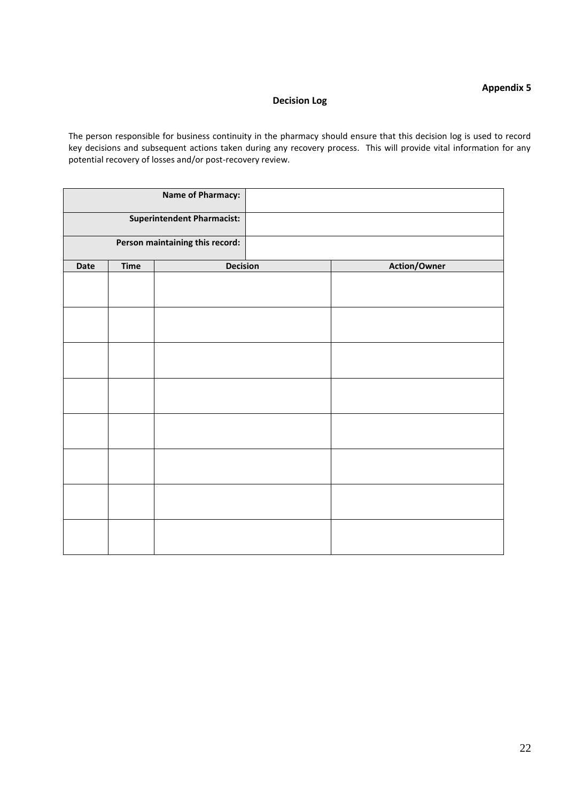## **Appendix 5**

## **Decision Log**

The person responsible for business continuity in the pharmacy should ensure that this decision log is used to record key decisions and subsequent actions taken during any recovery process. This will provide vital information for any potential recovery of losses and/or post-recovery review.

|      |             | <b>Name of Pharmacy:</b>          |                     |
|------|-------------|-----------------------------------|---------------------|
|      |             | <b>Superintendent Pharmacist:</b> |                     |
|      |             | Person maintaining this record:   |                     |
| Date | <b>Time</b> | <b>Decision</b>                   | <b>Action/Owner</b> |
|      |             |                                   |                     |
|      |             |                                   |                     |
|      |             |                                   |                     |
|      |             |                                   |                     |
|      |             |                                   |                     |
|      |             |                                   |                     |
|      |             |                                   |                     |
|      |             |                                   |                     |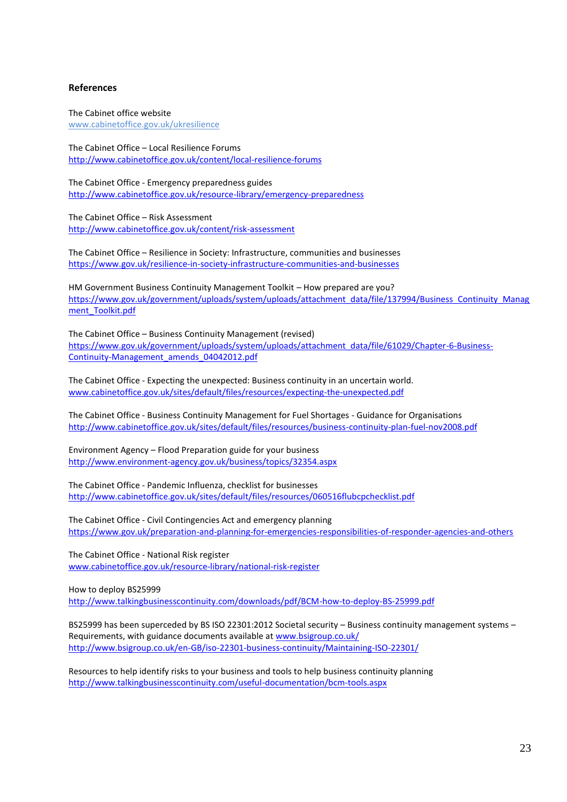#### **References**

The Cabinet office website [www.cabinetoffice.gov.uk/ukresilience](http://www.cabinetoffice.gov.uk/ukresilience)

The Cabinet Office – Local Resilience Forums <http://www.cabinetoffice.gov.uk/content/local-resilience-forums>

The Cabinet Office - Emergency preparedness guides <http://www.cabinetoffice.gov.uk/resource-library/emergency-preparedness>

The Cabinet Office – Risk Assessment <http://www.cabinetoffice.gov.uk/content/risk-assessment>

The Cabinet Office – Resilience in Society: Infrastructure, communities and businesses <https://www.gov.uk/resilience-in-society-infrastructure-communities-and-businesses>

HM Government Business Continuity Management Toolkit – How prepared are you? [https://www.gov.uk/government/uploads/system/uploads/attachment\\_data/file/137994/Business\\_Continuity\\_Manag](https://www.gov.uk/government/uploads/system/uploads/attachment_data/file/137994/Business_Continuity_Managment_Toolkit.pdf) [ment\\_Toolkit.pdf](https://www.gov.uk/government/uploads/system/uploads/attachment_data/file/137994/Business_Continuity_Managment_Toolkit.pdf)

The Cabinet Office – Business Continuity Management (revised) [https://www.gov.uk/government/uploads/system/uploads/attachment\\_data/file/61029/Chapter-6-Business-](https://www.gov.uk/government/uploads/system/uploads/attachment_data/file/61029/Chapter-6-Business-Continuity-Management_amends_04042012.pdf)[Continuity-Management\\_amends\\_04042012.pdf](https://www.gov.uk/government/uploads/system/uploads/attachment_data/file/61029/Chapter-6-Business-Continuity-Management_amends_04042012.pdf)

The Cabinet Office - Expecting the unexpected: Business continuity in an uncertain world. [www.cabinetoffice.gov.uk/sites/default/files/resources/expecting-the-unexpected.pdf](http://www.cabinetoffice.gov.uk/sites/default/files/resources/expecting-the-unexpected.pdf)

The Cabinet Office - Business Continuity Management for Fuel Shortages - Guidance for Organisations <http://www.cabinetoffice.gov.uk/sites/default/files/resources/business-continuity-plan-fuel-nov2008.pdf>

Environment Agency – Flood Preparation guide for your business <http://www.environment-agency.gov.uk/business/topics/32354.aspx>

The Cabinet Office - Pandemic Influenza, checklist for businesses <http://www.cabinetoffice.gov.uk/sites/default/files/resources/060516flubcpchecklist.pdf>

The Cabinet Office - Civil Contingencies Act and emergency planning <https://www.gov.uk/preparation-and-planning-for-emergencies-responsibilities-of-responder-agencies-and-others>

The Cabinet Office - National Risk register [www.cabinetoffice.gov.uk/resource-library/national-risk-register](http://www.cabinetoffice.gov.uk/resource-library/national-risk-register)

How to deploy BS25999 <http://www.talkingbusinesscontinuity.com/downloads/pdf/BCM-how-to-deploy-BS-25999.pdf>

BS25999 has been superceded by BS ISO 22301:2012 Societal security – Business continuity management systems – Requirements, with guidance documents available a[t www.bsigroup.co.uk/](http://www.bsigroup.co.uk/) <http://www.bsigroup.co.uk/en-GB/iso-22301-business-continuity/Maintaining-ISO-22301/>

Resources to help identify risks to your business and tools to help business continuity planning <http://www.talkingbusinesscontinuity.com/useful-documentation/bcm-tools.aspx>